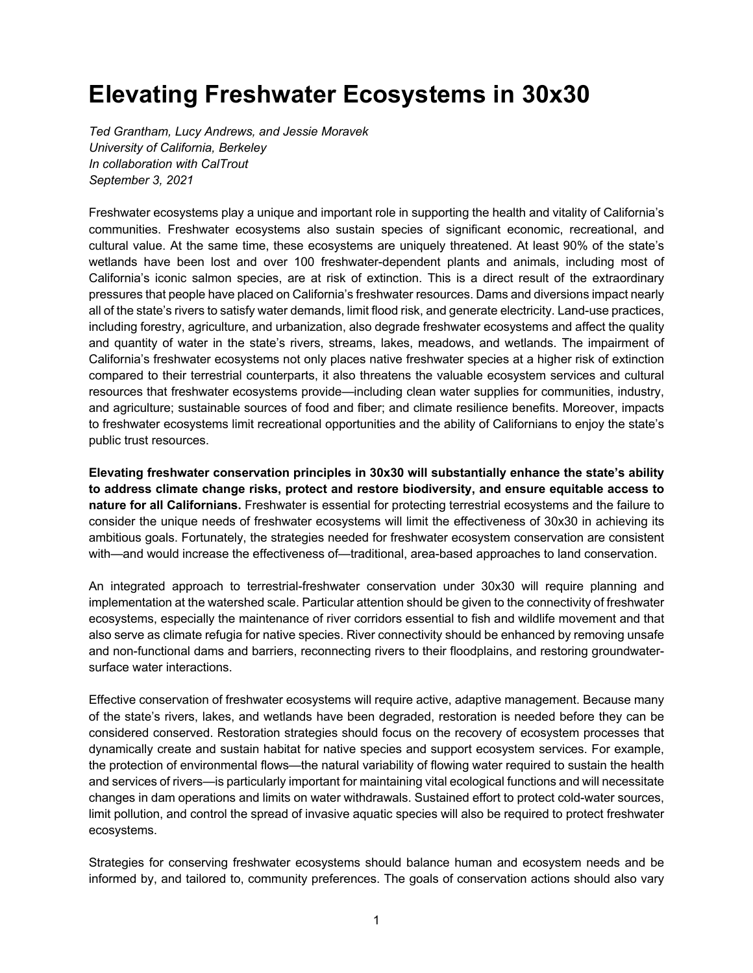# **Elevating Freshwater Ecosystems in 30x30**

*Ted Grantham, Lucy Andrews, and Jessie Moravek University of California, Berkeley In collaboration with CalTrout September 3, 2021*

Freshwater ecosystems play a unique and important role in supporting the health and vitality of California's communities. Freshwater ecosystems also sustain species of significant economic, recreational, and cultural value. At the same time, these ecosystems are uniquely threatened. At least 90% of the state's wetlands have been lost and over 100 freshwater-dependent plants and animals, including most of California's iconic salmon species, are at risk of extinction. This is a direct result of the extraordinary pressures that people have placed on California's freshwater resources. Dams and diversions impact nearly all of the state's rivers to satisfy water demands, limit flood risk, and generate electricity. Land-use practices, including forestry, agriculture, and urbanization, also degrade freshwater ecosystems and affect the quality and quantity of water in the state's rivers, streams, lakes, meadows, and wetlands. The impairment of California's freshwater ecosystems not only places native freshwater species at a higher risk of extinction compared to their terrestrial counterparts, it also threatens the valuable ecosystem services and cultural resources that freshwater ecosystems provide—including clean water supplies for communities, industry, and agriculture; sustainable sources of food and fiber; and climate resilience benefits. Moreover, impacts to freshwater ecosystems limit recreational opportunities and the ability of Californians to enjoy the state's public trust resources.

**Elevating freshwater conservation principles in 30x30 will substantially enhance the state's ability to address climate change risks, protect and restore biodiversity, and ensure equitable access to nature for all Californians.** Freshwater is essential for protecting terrestrial ecosystems and the failure to consider the unique needs of freshwater ecosystems will limit the effectiveness of 30x30 in achieving its ambitious goals. Fortunately, the strategies needed for freshwater ecosystem conservation are consistent with—and would increase the effectiveness of—traditional, area-based approaches to land conservation.

An integrated approach to terrestrial-freshwater conservation under 30x30 will require planning and implementation at the watershed scale. Particular attention should be given to the connectivity of freshwater ecosystems, especially the maintenance of river corridors essential to fish and wildlife movement and that also serve as climate refugia for native species. River connectivity should be enhanced by removing unsafe and non-functional dams and barriers, reconnecting rivers to their floodplains, and restoring groundwatersurface water interactions.

Effective conservation of freshwater ecosystems will require active, adaptive management. Because many of the state's rivers, lakes, and wetlands have been degraded, restoration is needed before they can be considered conserved. Restoration strategies should focus on the recovery of ecosystem processes that dynamically create and sustain habitat for native species and support ecosystem services. For example, the protection of environmental flows—the natural variability of flowing water required to sustain the health and services of rivers—is particularly important for maintaining vital ecological functions and will necessitate changes in dam operations and limits on water withdrawals. Sustained effort to protect cold-water sources, limit pollution, and control the spread of invasive aquatic species will also be required to protect freshwater ecosystems.

Strategies for conserving freshwater ecosystems should balance human and ecosystem needs and be informed by, and tailored to, community preferences. The goals of conservation actions should also vary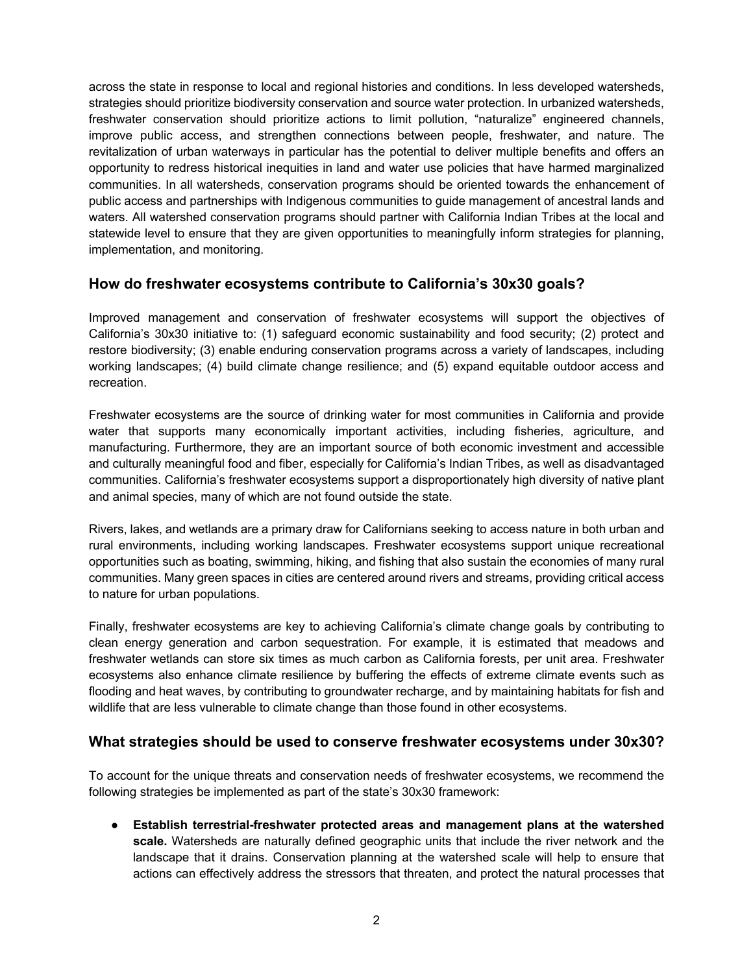across the state in response to local and regional histories and conditions. In less developed watersheds, strategies should prioritize biodiversity conservation and source water protection. In urbanized watersheds, freshwater conservation should prioritize actions to limit pollution, "naturalize" engineered channels, improve public access, and strengthen connections between people, freshwater, and nature. The revitalization of urban waterways in particular has the potential to deliver multiple benefits and offers an opportunity to redress historical inequities in land and water use policies that have harmed marginalized communities. In all watersheds, conservation programs should be oriented towards the enhancement of public access and partnerships with Indigenous communities to guide management of ancestral lands and waters. All watershed conservation programs should partner with California Indian Tribes at the local and statewide level to ensure that they are given opportunities to meaningfully inform strategies for planning, implementation, and monitoring.

#### **How do freshwater ecosystems contribute to California's 30x30 goals?**

Improved management and conservation of freshwater ecosystems will support the objectives of California's 30x30 initiative to: (1) safeguard economic sustainability and food security; (2) protect and restore biodiversity; (3) enable enduring conservation programs across a variety of landscapes, including working landscapes; (4) build climate change resilience; and (5) expand equitable outdoor access and recreation.

Freshwater ecosystems are the source of drinking water for most communities in California and provide water that supports many economically important activities, including fisheries, agriculture, and manufacturing. Furthermore, they are an important source of both economic investment and accessible and culturally meaningful food and fiber, especially for California's Indian Tribes, as well as disadvantaged communities. California's freshwater ecosystems support a disproportionately high diversity of native plant and animal species, many of which are not found outside the state.

Rivers, lakes, and wetlands are a primary draw for Californians seeking to access nature in both urban and rural environments, including working landscapes. Freshwater ecosystems support unique recreational opportunities such as boating, swimming, hiking, and fishing that also sustain the economies of many rural communities. Many green spaces in cities are centered around rivers and streams, providing critical access to nature for urban populations.

Finally, freshwater ecosystems are key to achieving California's climate change goals by contributing to clean energy generation and carbon sequestration. For example, it is estimated that meadows and freshwater wetlands can store six times as much carbon as California forests, per unit area. Freshwater ecosystems also enhance climate resilience by buffering the effects of extreme climate events such as flooding and heat waves, by contributing to groundwater recharge, and by maintaining habitats for fish and wildlife that are less vulnerable to climate change than those found in other ecosystems.

#### **What strategies should be used to conserve freshwater ecosystems under 30x30?**

To account for the unique threats and conservation needs of freshwater ecosystems, we recommend the following strategies be implemented as part of the state's 30x30 framework:

● **Establish terrestrial-freshwater protected areas and management plans at the watershed scale.** Watersheds are naturally defined geographic units that include the river network and the landscape that it drains. Conservation planning at the watershed scale will help to ensure that actions can effectively address the stressors that threaten, and protect the natural processes that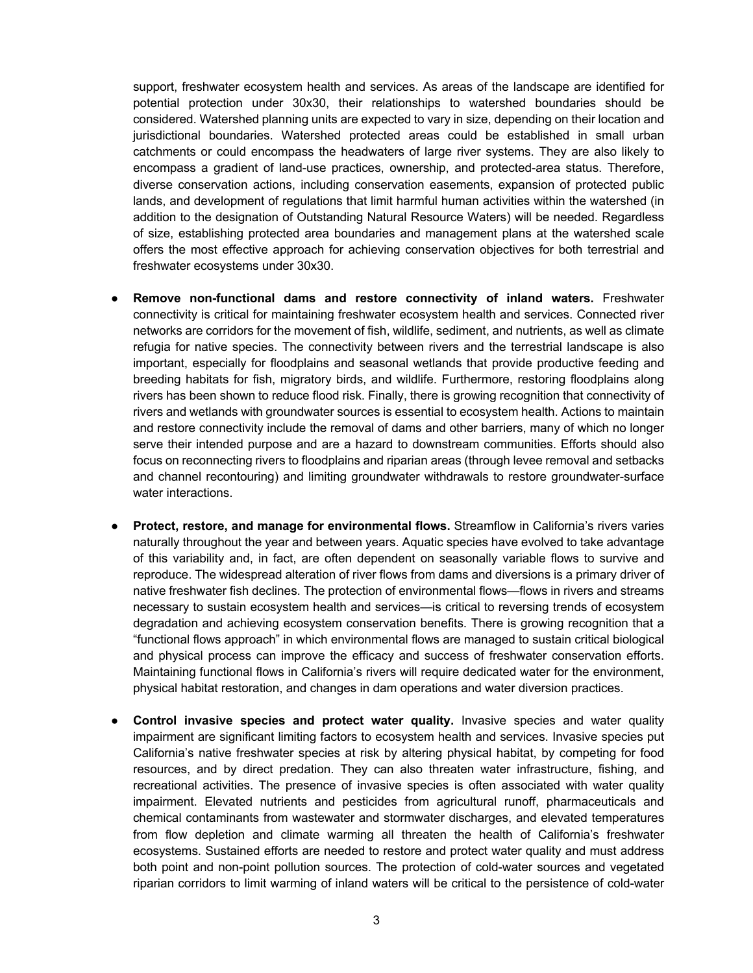support, freshwater ecosystem health and services. As areas of the landscape are identified for potential protection under 30x30, their relationships to watershed boundaries should be considered. Watershed planning units are expected to vary in size, depending on their location and jurisdictional boundaries. Watershed protected areas could be established in small urban catchments or could encompass the headwaters of large river systems. They are also likely to encompass a gradient of land-use practices, ownership, and protected-area status. Therefore, diverse conservation actions, including conservation easements, expansion of protected public lands, and development of regulations that limit harmful human activities within the watershed (in addition to the designation of Outstanding Natural Resource Waters) will be needed. Regardless of size, establishing protected area boundaries and management plans at the watershed scale offers the most effective approach for achieving conservation objectives for both terrestrial and freshwater ecosystems under 30x30.

- **Remove non-functional dams and restore connectivity of inland waters.** Freshwater connectivity is critical for maintaining freshwater ecosystem health and services. Connected river networks are corridors for the movement of fish, wildlife, sediment, and nutrients, as well as climate refugia for native species. The connectivity between rivers and the terrestrial landscape is also important, especially for floodplains and seasonal wetlands that provide productive feeding and breeding habitats for fish, migratory birds, and wildlife. Furthermore, restoring floodplains along rivers has been shown to reduce flood risk. Finally, there is growing recognition that connectivity of rivers and wetlands with groundwater sources is essential to ecosystem health. Actions to maintain and restore connectivity include the removal of dams and other barriers, many of which no longer serve their intended purpose and are a hazard to downstream communities. Efforts should also focus on reconnecting rivers to floodplains and riparian areas (through levee removal and setbacks and channel recontouring) and limiting groundwater withdrawals to restore groundwater-surface water interactions.
- **Protect, restore, and manage for environmental flows.** Streamflow in California's rivers varies naturally throughout the year and between years. Aquatic species have evolved to take advantage of this variability and, in fact, are often dependent on seasonally variable flows to survive and reproduce. The widespread alteration of river flows from dams and diversions is a primary driver of native freshwater fish declines. The protection of environmental flows—flows in rivers and streams necessary to sustain ecosystem health and services—is critical to reversing trends of ecosystem degradation and achieving ecosystem conservation benefits. There is growing recognition that a "functional flows approach" in which environmental flows are managed to sustain critical biological and physical process can improve the efficacy and success of freshwater conservation efforts. Maintaining functional flows in California's rivers will require dedicated water for the environment, physical habitat restoration, and changes in dam operations and water diversion practices.
- **Control invasive species and protect water quality.** Invasive species and water quality impairment are significant limiting factors to ecosystem health and services. Invasive species put California's native freshwater species at risk by altering physical habitat, by competing for food resources, and by direct predation. They can also threaten water infrastructure, fishing, and recreational activities. The presence of invasive species is often associated with water quality impairment. Elevated nutrients and pesticides from agricultural runoff, pharmaceuticals and chemical contaminants from wastewater and stormwater discharges, and elevated temperatures from flow depletion and climate warming all threaten the health of California's freshwater ecosystems. Sustained efforts are needed to restore and protect water quality and must address both point and non-point pollution sources. The protection of cold-water sources and vegetated riparian corridors to limit warming of inland waters will be critical to the persistence of cold-water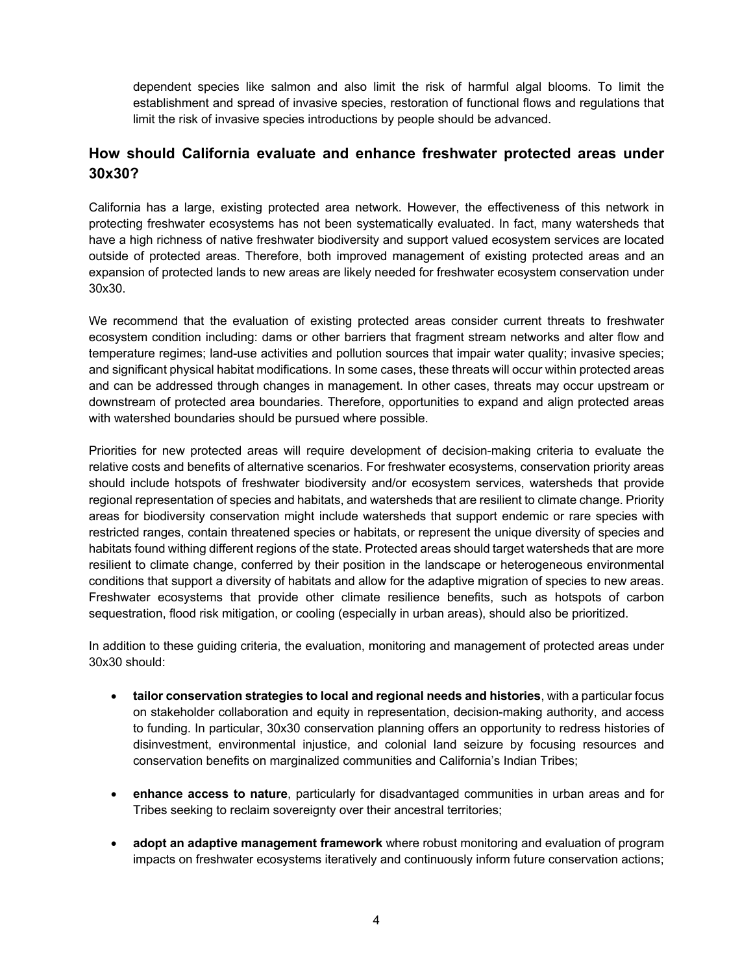dependent species like salmon and also limit the risk of harmful algal blooms. To limit the establishment and spread of invasive species, restoration of functional flows and regulations that limit the risk of invasive species introductions by people should be advanced.

# **How should California evaluate and enhance freshwater protected areas under 30x30?**

California has a large, existing protected area network. However, the effectiveness of this network in protecting freshwater ecosystems has not been systematically evaluated. In fact, many watersheds that have a high richness of native freshwater biodiversity and support valued ecosystem services are located outside of protected areas. Therefore, both improved management of existing protected areas and an expansion of protected lands to new areas are likely needed for freshwater ecosystem conservation under 30x30.

We recommend that the evaluation of existing protected areas consider current threats to freshwater ecosystem condition including: dams or other barriers that fragment stream networks and alter flow and temperature regimes; land-use activities and pollution sources that impair water quality; invasive species; and significant physical habitat modifications. In some cases, these threats will occur within protected areas and can be addressed through changes in management. In other cases, threats may occur upstream or downstream of protected area boundaries. Therefore, opportunities to expand and align protected areas with watershed boundaries should be pursued where possible.

Priorities for new protected areas will require development of decision-making criteria to evaluate the relative costs and benefits of alternative scenarios. For freshwater ecosystems, conservation priority areas should include hotspots of freshwater biodiversity and/or ecosystem services, watersheds that provide regional representation of species and habitats, and watersheds that are resilient to climate change. Priority areas for biodiversity conservation might include watersheds that support endemic or rare species with restricted ranges, contain threatened species or habitats, or represent the unique diversity of species and habitats found withing different regions of the state. Protected areas should target watersheds that are more resilient to climate change, conferred by their position in the landscape or heterogeneous environmental conditions that support a diversity of habitats and allow for the adaptive migration of species to new areas. Freshwater ecosystems that provide other climate resilience benefits, such as hotspots of carbon sequestration, flood risk mitigation, or cooling (especially in urban areas), should also be prioritized.

In addition to these guiding criteria, the evaluation, monitoring and management of protected areas under 30x30 should:

- **tailor conservation strategies to local and regional needs and histories**, with a particular focus on stakeholder collaboration and equity in representation, decision-making authority, and access to funding. In particular, 30x30 conservation planning offers an opportunity to redress histories of disinvestment, environmental injustice, and colonial land seizure by focusing resources and conservation benefits on marginalized communities and California's Indian Tribes;
- **enhance access to nature**, particularly for disadvantaged communities in urban areas and for Tribes seeking to reclaim sovereignty over their ancestral territories;
- **adopt an adaptive management framework** where robust monitoring and evaluation of program impacts on freshwater ecosystems iteratively and continuously inform future conservation actions;